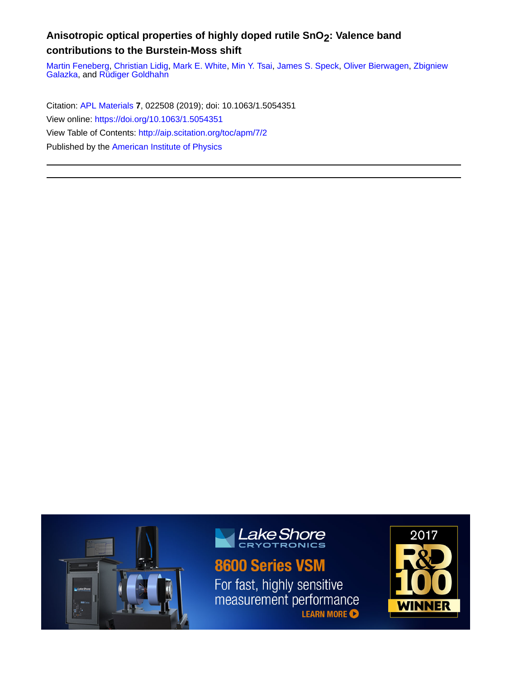### **Anisotropic optical properties of highly doped rutile SnO2: Valence band contributions to the Burstein-Moss shift**

[Martin Feneberg,](http://aip.scitation.org/author/Feneberg%2C+Martin) [Christian Lidig](http://aip.scitation.org/author/Lidig%2C+Christian), [Mark E. White,](http://aip.scitation.org/author/White%2C+Mark+E) [Min Y. Tsai,](http://aip.scitation.org/author/Tsai%2C+Min+Y) [James S. Speck,](http://aip.scitation.org/author/Speck%2C+James+S) [Oliver Bierwagen](http://aip.scitation.org/author/Bierwagen%2C+Oliver), [Zbigniew](http://aip.scitation.org/author/Galazka%2C+Zbigniew) [Galazka,](http://aip.scitation.org/author/Galazka%2C+Zbigniew) and [Rüdiger Goldhahn](http://aip.scitation.org/author/Goldhahn%2C+R%C3%BCdiger)

Citation: [APL Materials](/loi/apm) **7**, 022508 (2019); doi: 10.1063/1.5054351 View online: <https://doi.org/10.1063/1.5054351> View Table of Contents: <http://aip.scitation.org/toc/apm/7/2> Published by the [American Institute of Physics](http://aip.scitation.org/publisher/)





## 8600 Series VSM

For fast, highly sensitive measurement performance **LEARN MORE** 

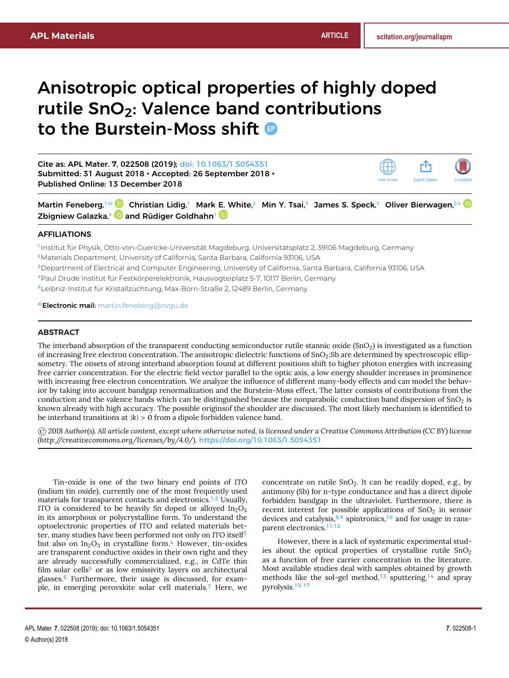# Anisotropic optical properties of highly doped rutile  $SnO<sub>2</sub>$ : Valence band contributions to the Burstein-Moss shift

Cite as: APL Mater. **7**, 022508 (2019); [doi: 10.1063/1.5054351](https://doi.org/10.1063/1.5054351) Submitted: 31 August 2018 • Accepted: 26 September 2018 • Published Online: 13 December 2018



Martin Feneberg,<sup>1[,a\)](#page-1-0)</sup> D Christian Lidig,<sup>1</sup> Mark [E. W](https://orcid.org/0000-0001-8296-2331)hite,<sup>2</sup> Min Y. Tsai,<sup>3</sup> James S. Speck,<sup>2</sup> Oliver Bierwagen,<sup>2,4</sup> D Zbigniew Galazka,<sup>s 10</sup> and Rüdiger Goldhahn<sup>1</sup>

#### AFFILIATIONS

**1** Institut für Physik, Otto-von-Guericke-Universität Magdeburg, Universitätsplatz 2, 39106 Magdeburg, Germany

- **<sup>2</sup>**Materials Department, University of California, Santa Barbara, California 93106, USA
- **<sup>3</sup>**Department of Electrical and Computer Engineering, University of California, Santa Barbara, California 93106, USA
- <sup>4</sup>Paul Drude Institut für Festkörperelektronik, Hausvogteiplatz 5-7, 10117 Berlin, Germany
- <sup>5</sup>Leibniz-Institut für Kristallzüchtung, Max-Born-Straße 2, 12489 Berlin, Germany

<span id="page-1-0"></span>**a)**Electronic mail: [martin.feneberg@ovgu.de](mailto:martin.feneberg@ovgu.de)

#### ABSTRACT

The interband absorption of the transparent conducting semiconductor rutile stannic oxide  $(SnO<sub>2</sub>)$  is investigated as a function of increasing free electron concentration. The anisotropic dielectric functions of  $SnO<sub>2</sub>$ :Sb are determined by spectroscopic ellipsometry. The onsets of strong interband absorption found at different positions shift to higher photon energies with increasing free carrier concentration. For the electric field vector parallel to the optic axis, a low energy shoulder increases in prominence with increasing free electron concentration. We analyze the influence of different many-body effects and can model the behavior by taking into account bandgap renormalization and the Burstein-Moss effect. The latter consists of contributions from the conduction and the valence bands which can be distinguished because the nonparabolic conduction band dispersion of  $SnO<sub>2</sub>$  is known already with high accuracy. The possible originsof the shoulder are discussed. The most likely mechanism is identified to be interband transitions at  $|k| > 0$  from a dipole forbidden valence band.

© *2018 Author(s). All article content, except where otherwise noted, is licensed under a Creative Commons Attribution (CC BY) license [\(http://creativecommons.org/licenses/by/4.0/\)](http://creativecommons.org/licenses/by/4.0/).* <https://doi.org/10.1063/1.5054351>

Tin-oxide is one of the two binary end points of ITO (indium tin oxide), currently one of the most frequently used materials for transparent contacts and electronics.<sup>[1](#page-6-0)[,2](#page-6-1)</sup> Usually, ITO is considered to be heavily Sn doped or alloyed  $In_2O_3$ in its amorphous or polycrystalline form. To understand the optoelectronic properties of ITO and related materials bet-ter, many studies have been performed not only on ITO itself<sup>[3](#page-6-2)</sup> but also on  $In_2O_3$  in crystalline form.<sup>[4](#page-6-3)</sup> However, tin-oxides are transparent conductive oxides in their own right and they are already successfully commercialized, e.g., in CdTe thin film solar cells $5$  or as low emissivity layers on architectural glasses.[6](#page-7-1) Furthermore, their usage is discussed, for example, in emerging perovskite solar cell materials.[7](#page-7-2) Here, we

concentrate on rutile  $SnO<sub>2</sub>$ . It can be readily doped, e.g., by antimony (Sb) for n-type conductance and has a direct dipole forbidden bandgap in the ultraviolet. Furthermore, there is recent interest for possible applications of  $SnO<sub>2</sub>$  in sensor devices and catalysis, $8,9$  $8,9$  spintronics,<sup>[10](#page-7-5)</sup> and for usage in ransparent electronics.[11,](#page-7-6)[12](#page-7-7)

However, there is a lack of systematic experimental studies about the optical properties of crystalline rutile  $SnO<sub>2</sub>$ as a function of free carrier concentration in the literature. Most available studies deal with samples obtained by growth methods like the sol-gel method,<sup>[13](#page-7-8)</sup> sputtering,<sup>[14](#page-7-9)</sup> and spray pyrolysis.[15–](#page-7-10)[17](#page-7-11)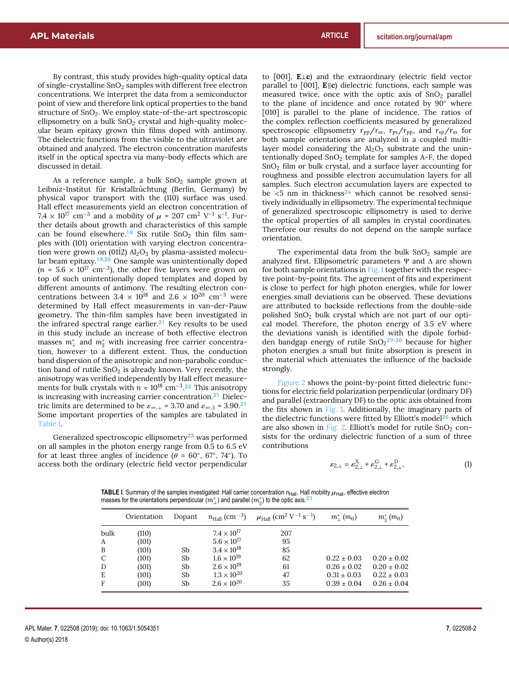By contrast, this study provides high-quality optical data of single-crystalline  $SnO<sub>2</sub>$  samples with different free electron concentrations. We interpret the data from a semiconductor point of view and therefore link optical properties to the band structure of SnO<sub>2</sub>. We employ state-of-the-art spectroscopic ellipsometry on a bulk  $SnO<sub>2</sub>$  crystal and high-quality molecular beam epitaxy grown thin films doped with antimony. The dielectric functions from the visible to the ultraviolet are obtained and analyzed. The electron concentration manifests itself in the optical spectra via many-body effects which are discussed in detail.

As a reference sample, a bulk  $SnO<sub>2</sub>$  sample grown at Leibniz-Institut für Kristallzüchtung (Berlin, Germany) by physical vapor transport with the (110) surface was used. Hall effect measurements yield an electron concentration of  $7.4 \times 10^{17}$  cm<sup>-3</sup> and a mobility of  $\mu = 207$  cm<sup>2</sup> V<sup>-1</sup> s<sup>-1</sup>. Fur-<br>ther details about growth and characteristics of this sample ther details about growth and characteristics of this sample can be found elsewhere.<sup>[18](#page-7-12)</sup> Six rutile  $SnO<sub>2</sub>$  thin film samples with (101) orientation with varying electron concentration were grown on (0112)  $Al_2O_3$  by plasma-assisted molecular beam epitaxy.[19,](#page-7-13)[20](#page-7-14) One sample was unintentionally doped  $(n = 5.6 \times 10^{17} \text{ cm}^{-3})$ , the other five layers were grown on top of such unintentionally doped templates and doped by different amounts of antimony. The resulting electron concentrations between 3.4 × 10<sup>18</sup> and 2.6 × 10<sup>20</sup> cm<sup>-3</sup> were determined by Hall effect measurements in van-der-Pauw geometry. The thin-film samples have been investigated in the infrared spectral range earlier.[21](#page-7-15) Key results to be used in this study include an increase of both effective electron masses  $m^*_{\perp}$  and  $m^*_{\parallel}$  with increasing free carrier concentration, however to a different extent. Thus, the conduction band dispersion of the anisotropic and non-parabolic conduction band of rutile  $SnO<sub>2</sub>$  is already known. Very recently, the anisotropy was verified independently by Hall effect measurements for bulk crystals with  $n \approx 10^{18}$  cm<sup>-3</sup>.<sup>[22](#page-7-16)</sup> This anisotropy is increasing with increasing carrier concentration.[21](#page-7-15) Dielectric limits are determined to be  $\varepsilon_{\infty, \perp}$  = 3.70 and  $\varepsilon_{\infty, \parallel}$  = 3.90.<sup>[21](#page-7-15)</sup> Some important properties of the samples are tabulated in [Table I.](#page-2-0)

Generalized spectroscopic ellipsometry<sup>[23](#page-7-17)</sup> was performed on all samples in the photon energy range from 0.5 to 6.5 eV for at least three angles of incidence  $(\theta = 60^{\circ}, 67^{\circ}, 74^{\circ})$ . To access both the ordinary (electric field vector perpendicular access both the ordinary (electric field vector perpendicular to [001], **E**⊥**c**) and the extraordinary (electric field vector parallel to [001], **E**||c) dielectric functions, each sample was measured twice, once with the optic axis of  $SnO<sub>2</sub>$  parallel to the plane of incidence and once rotated by 90◦ where [010] is parallel to the plane of incidence. The ratios of the complex reflection coefficients measured by generalized spectroscopic ellipsometry *rpp*/*rss*, *rps*/*rpp*, and *rsp*/*rss* for both sample orientations are analyzed in a coupled multilayer model considering the  $Al_2O_3$  substrate and the unintentionally doped  $SnO<sub>2</sub>$  template for samples A-F, the doped SnO<sup>2</sup> film or bulk crystal, and a surface layer accounting for roughness and possible electron accumulation layers for all samples. Such electron accumulation layers are expected to be  $\lt 5$  nm in thickness<sup>[24](#page-7-18)</sup> which cannot be resolved sensitively individually in ellipsometry. The experimental technique of generalized spectroscopic ellipsometry is used to derive the optical properties of all samples in crystal coordinates. Therefore our results do not depend on the sample surface orientation.

The experimental data from the bulk  $SnO<sub>2</sub>$  sample are analyzed first. Ellipsometric parameters Ψ and ∆ are shown for both sample orientations in [Fig. 1](#page-3-0) together with the respective point-by-point fits. The agreement of fits and experiment is close to perfect for high photon energies, while for lower energies small deviations can be observed. These deviations are attributed to backside reflections from the double-side polished SnO<sup>2</sup> bulk crystal which are not part of our optical model. Therefore, the photon energy of 3.5 eV where the deviations vanish is identified with the dipole forbid-den bandgap energy of rutile SnO<sub>2</sub><sup>27-[30](#page-7-20)</sup> because for higher photon energies a small but finite absorption is present in the material which attenuates the influence of the backside strongly.

[Figure 2](#page-3-1) shows the point-by-point fitted dielectric functions for electric field polarization perpendicular (ordinary DF) and parallel (extraordinary DF) to the optic axis obtained from the fits shown in [Fig. 1.](#page-3-0) Additionally, the imaginary parts of the dielectric functions were fitted by Elliott's model<sup>[26](#page-7-21)</sup> which are also shown in [Fig. 2.](#page-3-1) Elliott's model for rutile  $SnO<sub>2</sub>$  consists for the ordinary dielectric function of a sum of three contributions

<span id="page-2-1"></span>
$$
\varepsilon_{2,\perp} = \varepsilon_{2,\perp}^{\rm X} + \varepsilon_{2,\perp}^{\rm G} + \varepsilon_{2,\perp}^{\rm D},\tag{1}
$$

<span id="page-2-0"></span>**TABLE I**. Summary of the samples investigated: Hall carrier concentration  $n_{\text{Hall}}$ , Hall mobility  $\mu_{\text{Hall}}$ , effective electron masses for the orientations perpendicular  $(m^*_{\perp})$  and parallel  $(m^*_{\parallel})$  to the optic axis.<sup>[21](#page-7-15)</sup>

|               | Orientation | Dopant | $n_{\text{Hall}} \, (\text{cm}^{-3})$ | $\mu_{\rm Hall}$ (cm <sup>2</sup> V <sup>-1</sup> s <sup>-1</sup> ) | $m^*_{\perp}(m_0)$ | $m_{\text{H}}^{*}$ (m <sub>0</sub> ) |
|---------------|-------------|--------|---------------------------------------|---------------------------------------------------------------------|--------------------|--------------------------------------|
| bulk          | (110)       |        | $7.4 \times 10^{17}$                  | 207                                                                 |                    |                                      |
| A             | (101)       |        | $5.6 \times 10^{17}$                  | 95                                                                  |                    |                                      |
| B             | (101)       | Sb     | $3.4 \times 10^{18}$                  | 85                                                                  |                    |                                      |
| $\mathcal{C}$ | (101)       | Sb     | $1.6 \times 10^{19}$                  | 62                                                                  | $0.22 \pm 0.03$    | $0.20 \pm 0.02$                      |
| D             | (101)       | Sb     | $2.6 \times 10^{19}$                  | 61                                                                  | $0.26 \pm 0.02$    | $0.20 \pm 0.02$                      |
| Ε             | (101)       | Sb     | $1.3 \times 10^{20}$                  | 47                                                                  | $0.31 \pm 0.03$    | $0.22 \pm 0.03$                      |
| F             | (101)       | Sb     | $2.6 \times 10^{20}$                  | 35                                                                  | $0.39 \pm 0.04$    | $0.26 \pm 0.04$                      |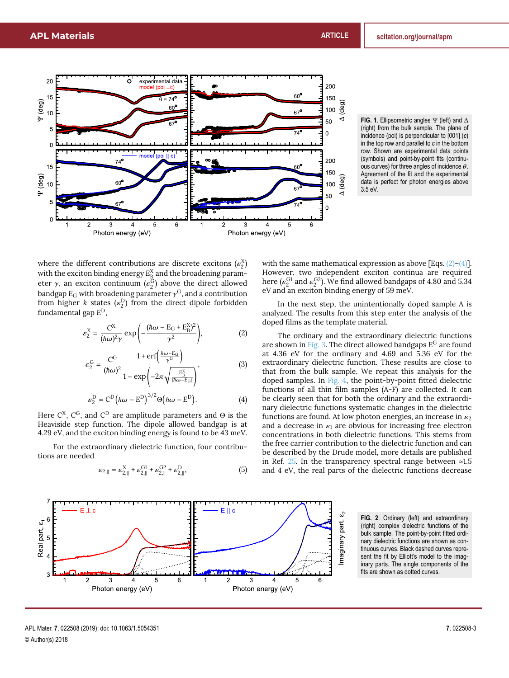<span id="page-3-0"></span>

**FIG. 1**. Ellipsometric angles Ψ (left) and ∆ (right) from the bulk sample. The plane of incidence (poi) is perpendicular to [001] (*c*) in the top row and parallel to *c* in the bottom row. Shown are experimental data points (symbols) and point-by-point fits (continuous curves) for three angles of incidence  $\theta$ . Agreement of the fit and the experimental data is perfect for photon energies above 3.5 eV.

where the different contributions are discrete excitons  $(\epsilon_2^X)$ with the exciton binding energy  $E_{\underline{B}}^{\mathrm{X}}$  and the broadening parameter  $\gamma$ , an exciton continuum ( $\epsilon_2^G$ ) above the direct allowed bandgap  $E_G$  with broadening parameter  $\gamma^G$ , and a contribution from higher *k* states  $(e^D)$  from the direct dipole forbidden from higher *k* states  $(\varepsilon_2^D)$  from the direct dipole forbidden<br>fundamental son  $E^D$ fundamental gap *E* D,

<span id="page-3-2"></span>
$$
\varepsilon_2^X = \frac{C^X}{(\hbar\omega)^2 \gamma} \exp\left(-\frac{(\hbar\omega - E_G + E_B^X)^2}{\gamma^2}\right),\tag{2}
$$

$$
\varepsilon_2^{\text{G}} = \frac{\text{C}^{\text{G}}}{(\hbar\omega)^2} \frac{1 + \text{erf}\left(\frac{\hbar\omega - \text{E}_{\text{G}}}{\gamma^{\text{G}}}\right)}{1 - \exp\left(-2\pi\sqrt{\frac{\text{E}_{\text{B}}^{\text{X}}}{|\hbar\omega - \text{E}_{\text{G}}|}}\right)},\tag{3}
$$

<span id="page-3-3"></span>
$$
\varepsilon_2^{\mathcal{D}} = \mathcal{C}^{\mathcal{D}}(\hbar\omega - \mathcal{E}^{\mathcal{D}})^{3/2}\Theta(\hbar\omega - \mathcal{E}^{\mathcal{D}}).
$$
 (4)

Here  $C^{\rm X}$ ,  $C^{\rm G}$ , and  $C^{\rm D}$  are amplitude parameters and  $\Theta$  is the Heaviside step function. The dipole allowed bandgap is at 4.29 eV, and the exciton binding energy is found to be 43 meV.

For the extraordinary dielectric function, four contributions are needed

<span id="page-3-4"></span>
$$
\varepsilon_{2,||} = \varepsilon_{2,||}^{\rm X} + \varepsilon_{2,||}^{\rm G1} + \varepsilon_{2,||}^{\rm G2} + \varepsilon_{2,||}^{\rm D},\tag{5}
$$

with the same mathematical expression as above [Eqs.  $(2)$ – $(4)$ ]. However, two independent exciton continua are required here ( $\varepsilon_2^{\text{G1}}$  and  $\varepsilon_2^{\text{G2}}$ ). We find allowed bandgaps of 4.80 and 5.34<br>eV and an exciton binding energy of 59 meV eV and an exciton binding energy of 59 meV.

In the next step, the unintentionally doped sample A is analyzed. The results from this step enter the analysis of the doped films as the template material.

The ordinary and the extraordinary dielectric functions are shown in [Fig. 3.](#page-4-0) The direct allowed bandgaps *E* <sup>G</sup> are found at 4.36 eV for the ordinary and 4.69 and 5.36 eV for the extraordinary dielectric function. These results are close to that from the bulk sample. We repeat this analysis for the doped samples. In [Fig. 4,](#page-4-1) the point-by-point fitted dielectric functions of all thin film samples (A-F) are collected. It can be clearly seen that for both the ordinary and the extraordinary dielectric functions systematic changes in the dielectric functions are found. At low photon energies, an increase in  $\varepsilon_2$ and a decrease in  $\varepsilon_1$  are obvious for increasing free electron concentrations in both dielectric functions. This stems from the free carrier contribution to the dielectric function and can be described by the Drude model, more details are published in Ref. [25.](#page-7-22) In the transparency spectral range between ≈1.5 and 4 eV, the real parts of the dielectric functions decrease

<span id="page-3-1"></span>

**FIG. 2**. Ordinary (left) and extraordinary (right) complex dielectric functions of the bulk sample. The point-by-point fitted ordinary dielectric functions are shown as continuous curves. Black dashed curves represent the fit by Elliott's model to the imaginary parts. The single components of the fits are shown as dotted curves.

APL Mater. **7**, 022508 (2019); doi: 10.1063/1.5054351 **7**, 022508-3 © Author(s) 2018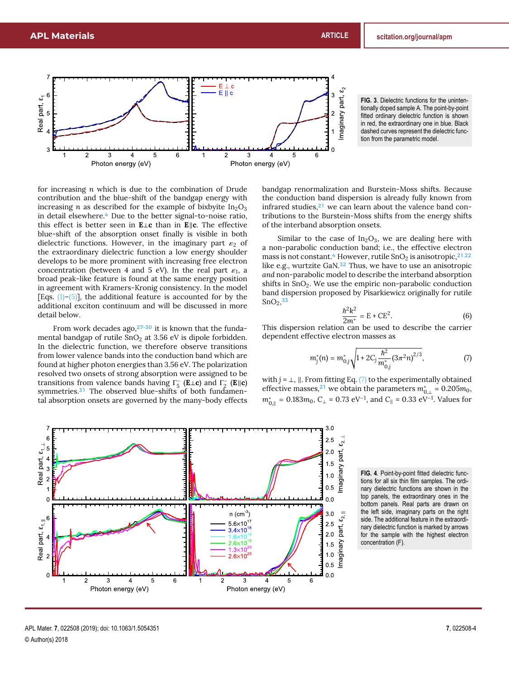<span id="page-4-0"></span>

**FIG. 3**. Dielectric functions for the unintentionally doped sample A. The point-by-point fitted ordinary dielectric function is shown in red, the extraordinary one in blue. Black dashed curves represent the dielectric function from the parametric model.

for increasing *n* which is due to the combination of Drude contribution and the blue-shift of the bandgap energy with increasing *n* as described for the example of bixbyite  $In_2O_3$ in detail elsewhere.<sup>[4](#page-6-3)</sup> Due to the better signal-to-noise ratio, this effect is better seen in **E**⊥**c** than in **E**k**c**. The effective blue-shift of the absorption onset finally is visible in both dielectric functions. However, in the imaginary part  $\varepsilon_2$  of the extraordinary dielectric function a low energy shoulder develops to be more prominent with increasing free electron concentration (between 4 and 5 eV). In the real part  $\varepsilon_1$ , a<br>broad peak-like feature is found at the same energy position broad peak-like feature is found at the same energy position in agreement with Kramers-Kronig consistency. In the model [Eqs.  $(1)$ [–\(5\)\]](#page-3-4), the additional feature is accounted for by the additional exciton continuum and will be discussed in more detail below.

From work decades ago, $27-30$  $27-30$  it is known that the fundamental bandgap of rutile  $SnO<sub>2</sub>$  at 3.56 eV is dipole forbidden. In the dielectric function, we therefore observe transitions from lower valence bands into the conduction band which are found at higher photon energies than 3.56 eV. The polarization resolved two onsets of strong absorption were assigned to be transitions from valence bands having  $\Gamma_5^-$  (**E**⊥**c**) and  $\Gamma_2^-$  (**E**||**c**) symmetries.<sup>[31](#page-7-23)</sup> The observed blue-shifts of both fundamental absorption onsets are governed by the many-body effects

bandgap renormalization and Burstein-Moss shifts. Because the conduction band dispersion is already fully known from infrared studies,<sup>[21](#page-7-15)</sup> we can learn about the valence band contributions to the Burstein-Moss shifts from the energy shifts of the interband absorption onsets.

Similar to the case of  $In_2O_3$ , we are dealing here with a non-parabolic conduction band; i.e., the effective electron mass is not constant.<sup>[4](#page-6-3)</sup> However, rutile  $SnO<sub>2</sub>$  is anisotropic,  $2^{1,22}$  $2^{1,22}$  $2^{1,22}$ like e.g., wurtzite GaN.<sup>[32](#page-7-24)</sup> Thus, we have to use an anisotropic *and* non-parabolic model to describe the interband absorption shifts in  $SnO<sub>2</sub>$ . We use the empiric non-parabolic conduction band dispersion proposed by Pisarkiewicz originally for rutile  $SnO<sub>2</sub>,<sup>33</sup>$  $SnO<sub>2</sub>,<sup>33</sup>$  $SnO<sub>2</sub>,<sup>33</sup>$ 

<span id="page-4-3"></span>
$$
\frac{\hbar^2 k^2}{2m^*} = E + CE^2.
$$
 (6)

2*m*<sup>∗</sup> This dispersion relation can be used to describe the carrier dependent effective electron masses as

<span id="page-4-2"></span>
$$
m_j^*(n) = m_{0,j}^* \sqrt{1 + 2C_j \frac{\hbar^2}{m_{0,j}^*} (3\pi^2 n)^{2/3}},
$$
 (7)

with  $j = \perp$ ,  $\parallel$ . From fitting Eq. [\(7\)](#page-4-2) to the experimentally obtained effective masses,<sup>[21](#page-7-15)</sup> we obtain the parameters  $m^*_{0,\perp} = 0.205 m_0$ ,  $m^*_{0,\parallel} = 0.183 m_0, C_{\perp}$  = 0.73 eV<sup>−1</sup>, and *C*<sub>||</sub> = 0.33 eV<sup>−1</sup>. Values for

<span id="page-4-1"></span>

**FIG. 4**. Point-by-point fitted dielectric functions for all six thin film samples. The ordinary dielectric functions are shown in the top panels, the extraordinary ones in the bottom panels. Real parts are drawn on the left side, imaginary parts on the right side. The additional feature in the extraordinary dielectric function is marked by arrows for the sample with the highest electron concentration (F).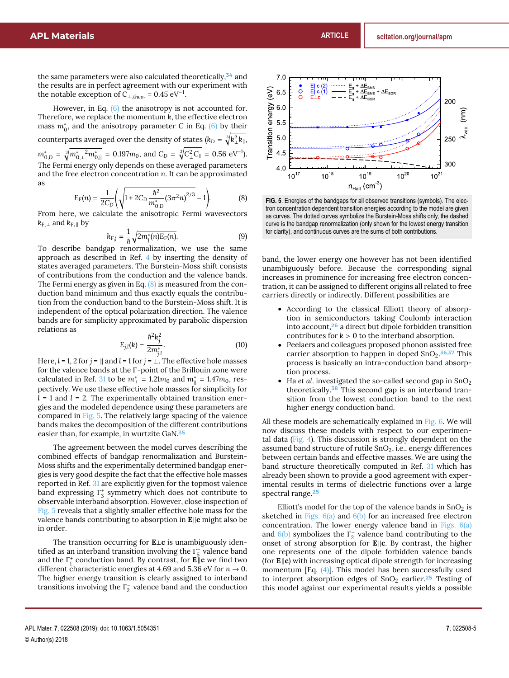the same parameters were also calculated theoretically,<sup>[34](#page-7-26)</sup> and the results are in perfect agreement with our experiment with the notable exception of  $C_{\perp,theo.} = 0.45 \text{ eV}^{-1}$ .

However, in Eq. [\(6\)](#page-4-3) the anisotropy is not accounted for. Therefore, we replace the momentum *k*, the effective electron mass  $m_0^*$ , and the anisotropy parameter *C* in Eq. [\(6\)](#page-4-3) by their counterparts averaged over the density of states ( $k_D = \sqrt[3]{k_{\perp}^2 k_{\parallel}},$  $m_{0,D}^* = \sqrt[3]{m_{0,\perp}^* {2m_{0,\parallel}^*}} = 0.197 m_0$ , and  $C_D = \sqrt[3]{C_{\perp}^2 C_{\parallel}} = 0.56 \text{ eV}^{-1}$ ). The Fermi energy only depends on these averaged parameters and the free electron concentration *n*. It can be approximated as

<span id="page-5-0"></span>
$$
E_F(n) = \frac{1}{2C_D} \left( \sqrt{1 + 2C_D \frac{\hbar^2}{m_{0,D}^*} (3\pi^2 n)^{2/3}} - 1 \right).
$$
 (8)

From here, we calculate the anisotropic Fermi wavevectors  $k_{\text{F},\perp}$  and  $k_{\text{F},\parallel}$  by

$$
k_{F,j} = \frac{1}{\hbar} \sqrt{2m_j^*(n)E_F(n)}.
$$
 (9)

To describe bandgap renormalization, we use the same approach as described in Ref. [4](#page-6-3) by inserting the density of states averaged parameters. The Burstein-Moss shift consists of contributions from the conduction and the valence bands. The Fermi energy as given in Eq. [\(8\)](#page-5-0) is measured from the conduction band minimum and thus exactly equals the contribution from the conduction band to the Burstein-Moss shift. It is independent of the optical polarization direction. The valence bands are for simplicity approximated by parabolic dispersion relations as

$$
E_{j,l}(k) = \frac{\hbar^2 k_j^2}{2m_{1l}^*}.
$$
 (10)

*j*,*l* Here, *l* = 1, 2 for *j* = k and *l* = 1 for *j* = ⊥. The effective hole masses for the valence bands at the Γ-point of the Brillouin zone were calculated in Ref. [31](#page-7-23) to be  $m^*_{\perp} = 1.21 m_0$  and  $m^*_{\parallel} = 1.47 m_0$ , respectively. We use these effective hole masses for simplicity for *l* = 1 and *l* = 2. The experimentally obtained transition energies and the modeled dependence using these parameters are compared in [Fig. 5.](#page-5-1) The relatively large spacing of the valence bands makes the decomposition of the different contributions easier than, for example, in wurtzite GaN.<sup>[35](#page-7-27)</sup>

The agreement between the model curves describing the combined effects of bandgap renormalization and Burstein-Moss shifts and the experimentally determined bandgap energies is very good despite the fact that the effective hole masses reported in Ref. [31](#page-7-23) are explicitly given for the topmost valence band expressing  $\Gamma_3^*$  symmetry which does not contribute to observable interband absorption. However, close inspection of [Fig. 5](#page-5-1) reveals that a slightly smaller effective hole mass for the valence bands contributing to absorption in **E**<sub>k</sub>c might also be in order.

The transition occurring for **E**⊥**c** is unambiguously identified as an interband transition involving the  $\Gamma_5^-$  valence band and the  $\Gamma_1^+$  conduction band. By contrast, for **E**<sub>||c</sub> we find two different characteristic energies at 4.69 and 5.36 eV for  $n \to 0$ . The higher energy transition is clearly assigned to interband transitions involving the  $\Gamma_2^-$  valence band and the conduction

<span id="page-5-1"></span>

**FIG. 5**. Energies of the bandgaps for all observed transitions (symbols). The electron concentration dependent transition energies according to the model are given as curves. The dotted curves symbolize the Burstein-Moss shifts only, the dashed curve is the bandgap renormalization (only shown for the lowest energy transition for clarity), and continuous curves are the sums of both contributions.

band, the lower energy one however has not been identified unambiguously before. Because the corresponding signal increases in prominence for increasing free electron concentration, it can be assigned to different origins all related to free carriers directly or indirectly. Different possibilities are

- According to the classical Elliott theory of absorption in semiconductors taking Coulomb interaction into account,[26](#page-7-21) a direct but dipole forbidden transition contributes for  $k > 0$  to the interband absorption.
- Peelaers and colleagues proposed phonon assisted free carrier absorption to happen in doped SnO<sub>2</sub>.<sup>[36](#page-7-28)[,37](#page-7-29)</sup> This process is basically an intra-conduction band absorption process.
- $\bullet$  Ha *et al.* investigated the so-called second gap in SnO<sub>2</sub> theoretically.<sup>[38](#page-7-30)</sup> This second gap is an interband transition from the lowest conduction band to the next higher energy conduction band.

All these models are schematically explained in [Fig. 6.](#page-6-4) We will now discuss these models with respect to our experimental data [\(Fig. 4\)](#page-4-1). This discussion is strongly dependent on the assumed band structure of rutile  $SnO<sub>2</sub>$ , i.e., energy differences between certain bands and effective masses. We are using the band structure theoretically computed in Ref. [31](#page-7-23) which has already been shown to provide a good agreement with experimental results in terms of dielectric functions over a large spectral range.<sup>[25](#page-7-22)</sup>

Elliott's model for the top of the valence bands in  $SnO<sub>2</sub>$  is sketched in Figs.  $6(a)$  and  $6(b)$  for an increased free electron concentration. The lower energy valence band in [Figs. 6\(a\)](#page-6-4) and  $6(b)$  symbolizes the  $\Gamma_2^-$  valence band contributing to the onset of strong absorption for **E**||c. By contrast, the higher one represents one of the dipole forbidden valence bands (for **E**||c) with increasing optical dipole strength for increasing momentum  $[Eq. (4)]$  $[Eq. (4)]$ . This model has been successfully used to interpret absorption edges of  $SnO<sub>2</sub>$  earlier.<sup>[25](#page-7-22)</sup> Testing of this model against our experimental results yields a possible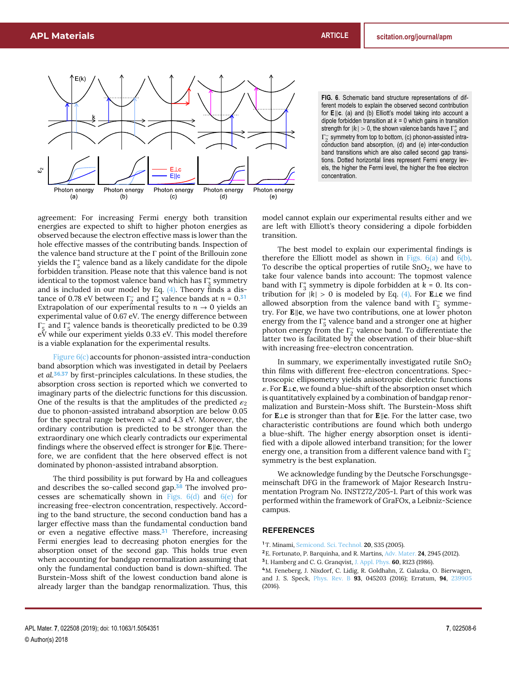<span id="page-6-4"></span>

agreement: For increasing Fermi energy both transition energies are expected to shift to higher photon energies as observed because the electron effective mass is lower than the hole effective masses of the contributing bands. Inspection of the valence band structure at the Γ point of the Brillouin zone yields the  $\Gamma_5^+$  valence band as a likely candidate for the dipole forbidden transition. Please note that this valence band is not identical to the topmost valence band which has  $\Gamma_3^*$  symmetry and is included in our model by Eq. [\(4\).](#page-3-3) Theory finds a distance of 0.78 eV between  $\Gamma_2^-$  and  $\Gamma_5^+$  valence bands at  $n = 0.31$  $n = 0.31$ Extrapolation of our experimental results to  $n \to 0$  yields an experimental value of 0.67 eV. The energy difference between  $\Gamma_5^-$  and  $\Gamma_5^+$  valence bands is theoretically predicted to be 0.39 eV while our experiment yields 0.33 eV. This model therefore is a viable explanation for the experimental results.

Figure  $6(c)$  accounts for phonon-assisted intra-conduction band absorption which was investigated in detail by Peelaers *et al.*[36](#page-7-28)[,37](#page-7-29) by first-principles calculations. In these studies, the absorption cross section is reported which we converted to imaginary parts of the dielectric functions for this discussion. One of the results is that the amplitudes of the predicted  $\varepsilon_2$ due to phonon-assisted intraband absorption are below 0.05 for the spectral range between  $\approx$  2 and 4.3 eV. Moreover, the ordinary contribution is predicted to be stronger than the extraordinary one which clearly contradicts our experimental findings where the observed effect is stronger for **E**||**c**. Therefore, we are confident that the here observed effect is not dominated by phonon-assisted intraband absorption.

The third possibility is put forward by Ha and colleagues and describes the so-called second gap.<sup>[38](#page-7-30)</sup> The involved processes are schematically shown in Figs.  $6(d)$  and  $6(e)$  for increasing free-electron concentration, respectively. According to the band structure, the second conduction band has a larger effective mass than the fundamental conduction band or even a negative effective mass.<sup>[31](#page-7-23)</sup> Therefore, increasing Fermi energies lead to decreasing photon energies for the absorption onset of the second gap. This holds true even when accounting for bandgap renormalization assuming that only the fundamental conduction band is down-shifted. The Burstein-Moss shift of the lowest conduction band alone is already larger than the bandgap renormalization. Thus, this **FIG. 6**. Schematic band structure representations of different models to explain the observed second contribution for **E**||c. (a) and (b) Elliott's model taking into account a dipole forbidden transition at  $k = 0$  which gains in transition strength for  $|k| > 0$ , the shown valence bands have  $\Gamma_5^+$  and  $\Gamma_7^-$  cummatry from top to bottom (c) phonon assisted intra  $\Gamma_5^-$  symmetry from top to bottom, (c) phonon-assisted intra-2 conduction band absorption, (d) and (e) inter-conduction band transitions which are also called second gap transitions. Dotted horizontal lines represent Fermi energy levels, the higher the Fermi level, the higher the free electron concentration.

model cannot explain our experimental results either and we are left with Elliott's theory considering a dipole forbidden transition.

The best model to explain our experimental findings is therefore the Elliott model as shown in Figs.  $6(a)$  and  $6(b)$ . To describe the optical properties of rutile  $SnO<sub>2</sub>$ , we have to take four valence bands into account: The topmost valence band with  $\Gamma_3^+$  symmetry is dipole forbidden at  $k = 0$ . Its contribution for  $|k| > 0$  is modeled by Eq. [\(4\).](#page-3-3) For **E**⊥**c** we find allowed absorption from the valence band with  $\Gamma_5^-$  symmetry. For **E**||c, we have two contributions, one at lower photon energy from the  $\Gamma_5^+$  valence band and a stronger one at higher photon energy from the  $\Gamma_2^-$  valence band. To differentiate the latter two is facilitated by the observation of their blue-shift with increasing free-electron concentration.

In summary, we experimentally investigated rutile  $SnO<sub>2</sub>$ thin films with different free-electron concentrations. Spectroscopic ellipsometry yields anisotropic dielectric functions ε. For **<sup>E</sup>**⊥**c**, we found a blue-shift of the absorption onset which is quantitatively explained by a combination of bandgap renormalization and Burstein-Moss shift. The Burstein-Moss shift for **E**⊥**c** is stronger than that for **E**k**c**. For the latter case, two characteristic contributions are found which both undergo a blue-shift. The higher energy absorption onset is identified with a dipole allowed interband transition; for the lower energy one, a transition from a different valence band with  $\Gamma_5^$ symmetry is the best explanation.

We acknowledge funding by the Deutsche Forschungsgemeinschaft DFG in the framework of Major Research Instrumentation Program No. INST272/205-1. Part of this work was performed within the framework of GraFOx, a Leibniz-Science campus.

#### REFERENCES

- <span id="page-6-0"></span><sup>1</sup>T. Minami, [Semicond. Sci. Technol.](https://doi.org/10.1088/0268-1242/20/4/004) **20**, S35 (2005).
- <span id="page-6-1"></span><sup>2</sup>E. Fortunato, P. Barquinha, and R. Martins, [Adv. Mater.](https://doi.org/10.1002/adma.201103228) **24**, 2945 (2012).
- <span id="page-6-2"></span>3 I. Hamberg and C. G. Granqvist, [J. Appl. Phys.](https://doi.org/10.1063/1.337534) **60**, R123 (1986).

<span id="page-6-3"></span><sup>4</sup>M. Feneberg, J. Nixdorf, C. Lidig, R. Goldhahn, Z. Galazka, O. Bierwagen, and J. S. Speck, [Phys. Rev. B](https://doi.org/10.1103/physrevb.93.045203) **93**, 045203 (2016); Erratum, **94**, [239905](https://doi.org/10.1103/physrevb.94.239905) (2016).